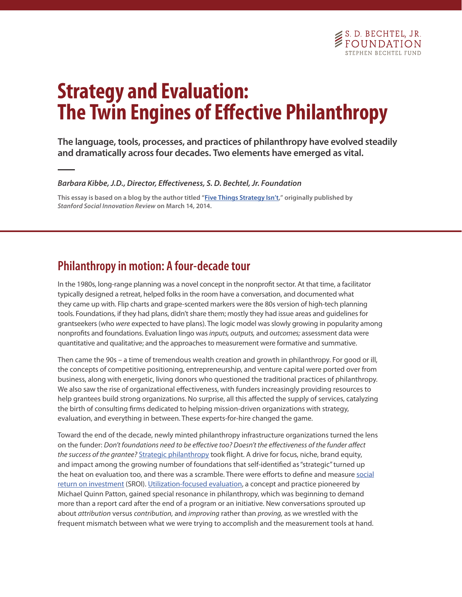

# **Strategy and Evaluation: The Twin Engines of Effective Philanthropy**

**The language, tools, processes, and practices of philanthropy have evolved steadily and dramatically across four decades. Two elements have emerged as vital.** 

#### *Barbara Kibbe, J.D., Director, Effectiveness, S. D. Bechtel, Jr. Foundation*

**This essay is based on a blog by the author titled ["Five Things Strategy Isn't,](https://ssir.org/articles/entry/five_things_strategy_isnt)" originally published by**  *Stanford Social Innovation Review* **on March 14, 2014.**

### **Philanthropy in motion: A four-decade tour**

In the 1980s, long-range planning was a novel concept in the nonprofit sector. At that time, a facilitator typically designed a retreat, helped folks in the room have a conversation, and documented what they came up with. Flip charts and grape-scented markers were the 80s version of high-tech planning tools. Foundations, if they had plans, didn't share them; mostly they had issue areas and guidelines for grantseekers (who *were* expected to have plans). The logic model was slowly growing in popularity among nonprofits and foundations. Evaluation lingo was *inputs, outputs,* and *outcomes;* assessment data were quantitative and qualitative; and the approaches to measurement were formative and summative.

Then came the 90s – a time of tremendous wealth creation and growth in philanthropy. For good or ill, the concepts of competitive positioning, entrepreneurship, and venture capital were ported over from business, along with energetic, living donors who questioned the traditional practices of philanthropy. We also saw the rise of organizational effectiveness, with funders increasingly providing resources to help grantees build strong organizations. No surprise, all this affected the supply of services, catalyzing the birth of consulting firms dedicated to helping mission-driven organizations with strategy, evaluation, and everything in between. These experts-for-hire changed the game.

Toward the end of the decade, newly minted philanthropy infrastructure organizations turned the lens on the funder: *Don't foundations need to be effective too? Doesn't the effectiveness of the funder affect the success of the grantee?* [Strategic philanthropy](http://www.effectivephilanthropy.org/) took flight. A drive for focus, niche, brand equity, and impact among the growing number of foundations that self-identified as "strategic" turned up the heat on evaluation too, and there was a scramble. There were efforts to define and measure [social](http://www.thesroinetwork.org/) [return on investment](http://www.thesroinetwork.org/) (SROI). [Utilization-focused evaluation,](https://wmich.edu/sites/default/files/attachments/u350/2014/UFE_checklist_2013.pdf) a concept and practice pioneered by Michael Quinn Patton, gained special resonance in philanthropy, which was beginning to demand more than a report card after the end of a program or an initiative. New conversations sprouted up about *attribution* versus *contribution,* and *improving* rather than *proving,* as we wrestled with the frequent mismatch between what we were trying to accomplish and the measurement tools at hand.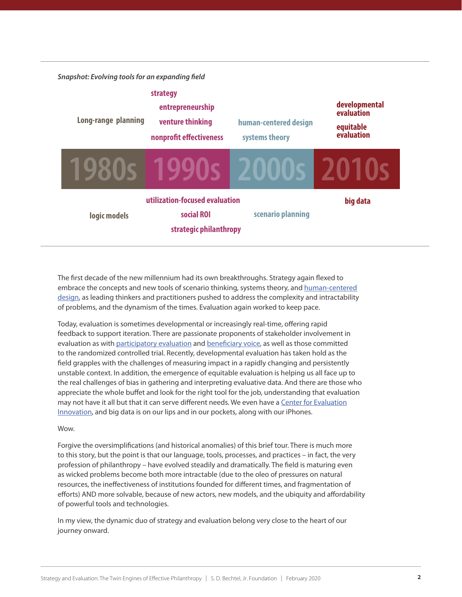| Snapshot: Evolving tools for an expanding field                                                             |                                                                             |                                         |                                                        |
|-------------------------------------------------------------------------------------------------------------|-----------------------------------------------------------------------------|-----------------------------------------|--------------------------------------------------------|
| Long-range planning                                                                                         | strategy<br>entrepreneurship<br>venture thinking<br>nonprofit effectiveness | human-centered design<br>systems theory | developmental<br>evaluation<br>equitable<br>evaluation |
|                                                                                                             |                                                                             | <b>2000s1</b>                           |                                                        |
| utilization-focused evaluation<br>scenario planning<br>social ROI<br>logic models<br>strategic philanthropy |                                                                             | big data                                |                                                        |

The first decade of the new millennium had its own breakthroughs. Strategy again flexed to embrace the concepts and new tools of scenario thinking, systems theory, and [human-centered](http://humancentereddesign.org/) [design,](http://humancentereddesign.org/) as leading thinkers and practitioners pushed to address the complexity and intractability of problems, and the dynamism of the times. Evaluation again worked to keep pace.

Today, evaluation is sometimes developmental or increasingly real-time, offering rapid feedback to support iteration. There are passionate proponents of stakeholder involvement in evaluation as with [participatory evaluation](http://www.hfrp.org/evaluation/the-evaluation-exchange/issue-archive/participatory-evaluation/participatory-evaluation-enhancing-evaluation-use-and-organizational-learning-capacity) and [beneficiary voice,](https://cep.org/) as well as those committed to the randomized controlled trial. Recently, developmental evaluation has taken hold as the field grapples with the challenges of measuring impact in a rapidly changing and persistently unstable context. In addition, the emergence of equitable evaluation is helping us all face up to the real challenges of bias in gathering and interpreting evaluative data. And there are those who appreciate the whole buffet and look for the right tool for the job, understanding that evaluation may not have it all but that it can serve different needs. We even have a [Center for Evaluation](http://www.evaluationinnovation.org/) [Innovation,](http://www.evaluationinnovation.org/) and big data is on our lips and in our pockets, along with our iPhones.

#### Wow.

Forgive the oversimplifications (and historical anomalies) of this brief tour. There is much more to this story, but the point is that our language, tools, processes, and practices – in fact, the very profession of philanthropy – have evolved steadily and dramatically. The field is maturing even as wicked problems become both more intractable (due to the oleo of pressures on natural resources, the ineffectiveness of institutions founded for different times, and fragmentation of efforts) AND more solvable, because of new actors, new models, and the ubiquity and affordability of powerful tools and technologies.

In my view, the dynamic duo of strategy and evaluation belong very close to the heart of our journey onward.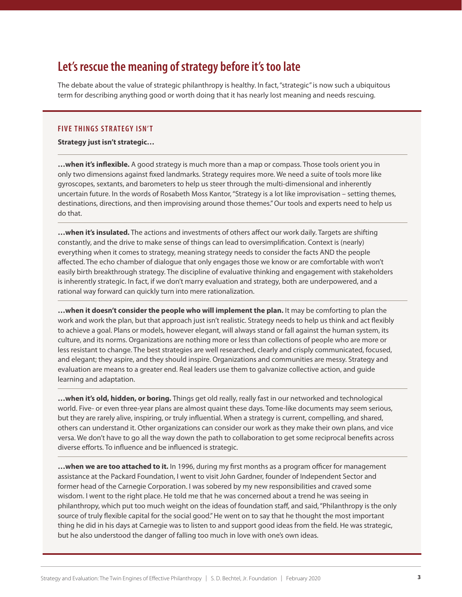## **Let's rescue the meaning of strategy before it's too late**

The debate about the value of strategic philanthropy is healthy. In fact, "strategic" is now such a ubiquitous term for describing anything good or worth doing that it has nearly lost meaning and needs rescuing.

### **FIVE THINGS STRATEGY ISN'T**

**Strategy just isn't strategic…** 

**…when it's inflexible.** A good strategy is much more than a map or compass. Those tools orient you in only two dimensions against fixed landmarks. Strategy requires more. We need a suite of tools more like gyroscopes, sextants, and barometers to help us steer through the multi-dimensional and inherently uncertain future. In the words of Rosabeth Moss Kantor, "Strategy is a lot like improvisation – setting themes, destinations, directions, and then improvising around those themes." Our tools and experts need to help us do that.

**…when it's insulated.** The actions and investments of others affect our work daily. Targets are shifting constantly, and the drive to make sense of things can lead to oversimplification. Context is (nearly) everything when it comes to strategy, meaning strategy needs to consider the facts AND the people affected. The echo chamber of dialogue that only engages those we know or are comfortable with won't easily birth breakthrough strategy. The discipline of evaluative thinking and engagement with stakeholders is inherently strategic. In fact, if we don't marry evaluation and strategy, both are underpowered, and a rational way forward can quickly turn into mere rationalization.

**…when it doesn't consider the people who will implement the plan.** It may be comforting to plan the work and work the plan, but that approach just isn't realistic. Strategy needs to help us think and act flexibly to achieve a goal. Plans or models, however elegant, will always stand or fall against the human system, its culture, and its norms. Organizations are nothing more or less than collections of people who are more or less resistant to change. The best strategies are well researched, clearly and crisply communicated, focused, and elegant; they aspire, and they should inspire. Organizations and communities are messy. Strategy and evaluation are means to a greater end. Real leaders use them to galvanize collective action, and guide learning and adaptation.

**…when it's old, hidden, or boring.** Things get old really, really fast in our networked and technological world. Five- or even three-year plans are almost quaint these days. Tome-like documents may seem serious, but they are rarely alive, inspiring, or truly influential. When a strategy is current, compelling, and shared, others can understand it. Other organizations can consider our work as they make their own plans, and vice versa. We don't have to go all the way down the path to collaboration to get some reciprocal benefits across diverse efforts. To influence and be influenced is strategic.

**…when we are too attached to it.** In 1996, during my first months as a program officer for management assistance at the Packard Foundation, I went to visit John Gardner, founder of Independent Sector and former head of the Carnegie Corporation. I was sobered by my new responsibilities and craved some wisdom. I went to the right place. He told me that he was concerned about a trend he was seeing in philanthropy, which put too much weight on the ideas of foundation staff, and said, "Philanthropy is the only source of truly flexible capital for the social good." He went on to say that he thought the most important thing he did in his days at Carnegie was to listen to and support good ideas from the field. He was strategic, but he also understood the danger of falling too much in love with one's own ideas.